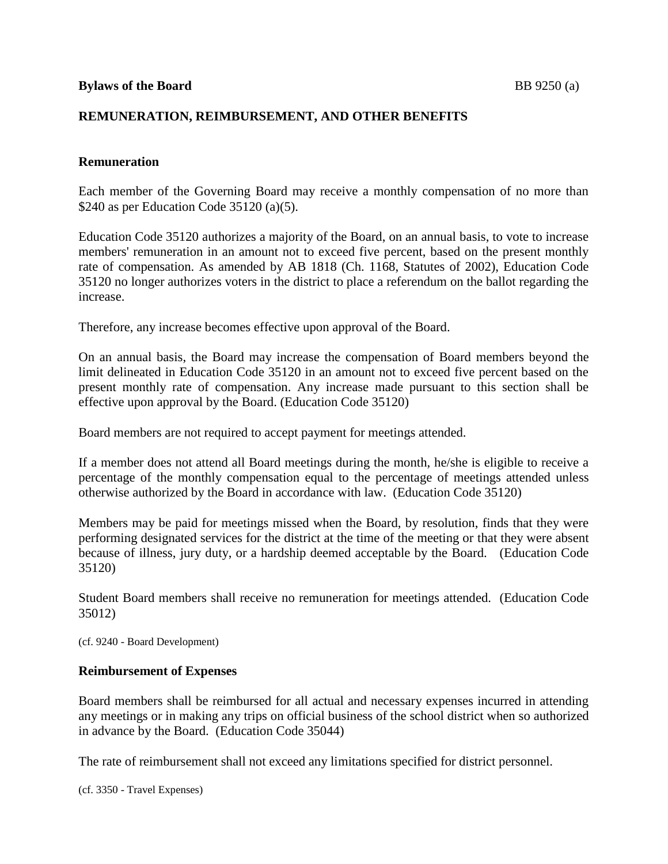# **REMUNERATION, REIMBURSEMENT, AND OTHER BENEFITS**

# **Remuneration**

Each member of the Governing Board may receive a monthly compensation of no more than \$240 as per Education Code 35120 (a)(5).

Education Code 35120 authorizes a majority of the Board, on an annual basis, to vote to increase members' remuneration in an amount not to exceed five percent, based on the present monthly rate of compensation. As amended by AB 1818 (Ch. 1168, Statutes of 2002), Education Code 35120 no longer authorizes voters in the district to place a referendum on the ballot regarding the increase.

Therefore, any increase becomes effective upon approval of the Board.

On an annual basis, the Board may increase the compensation of Board members beyond the limit delineated in Education Code 35120 in an amount not to exceed five percent based on the present monthly rate of compensation. Any increase made pursuant to this section shall be effective upon approval by the Board. (Education Code 35120)

Board members are not required to accept payment for meetings attended.

If a member does not attend all Board meetings during the month, he/she is eligible to receive a percentage of the monthly compensation equal to the percentage of meetings attended unless otherwise authorized by the Board in accordance with law. (Education Code 35120)

Members may be paid for meetings missed when the Board, by resolution, finds that they were performing designated services for the district at the time of the meeting or that they were absent because of illness, jury duty, or a hardship deemed acceptable by the Board. (Education Code 35120)

Student Board members shall receive no remuneration for meetings attended. (Education Code 35012)

(cf. 9240 - Board Development)

## **Reimbursement of Expenses**

Board members shall be reimbursed for all actual and necessary expenses incurred in attending any meetings or in making any trips on official business of the school district when so authorized in advance by the Board. (Education Code 35044)

The rate of reimbursement shall not exceed any limitations specified for district personnel.

(cf. 3350 - Travel Expenses)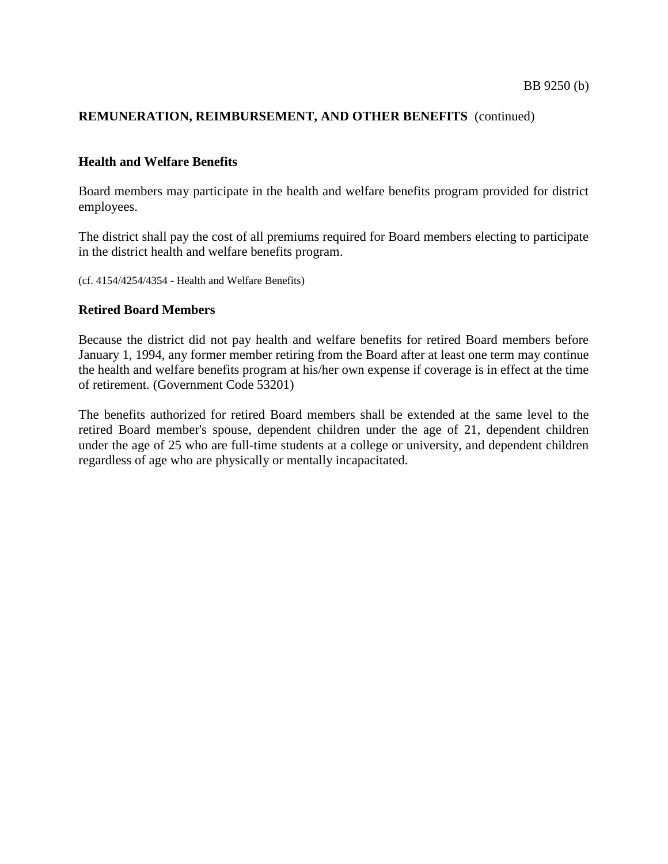## **REMUNERATION, REIMBURSEMENT, AND OTHER BENEFITS** (continued)

#### **Health and Welfare Benefits**

Board members may participate in the health and welfare benefits program provided for district employees.

The district shall pay the cost of all premiums required for Board members electing to participate in the district health and welfare benefits program.

(cf. 4154/4254/4354 - Health and Welfare Benefits)

#### **Retired Board Members**

Because the district did not pay health and welfare benefits for retired Board members before January 1, 1994, any former member retiring from the Board after at least one term may continue the health and welfare benefits program at his/her own expense if coverage is in effect at the time of retirement. (Government Code 53201)

The benefits authorized for retired Board members shall be extended at the same level to the retired Board member's spouse, dependent children under the age of 21, dependent children under the age of 25 who are full-time students at a college or university, and dependent children regardless of age who are physically or mentally incapacitated.